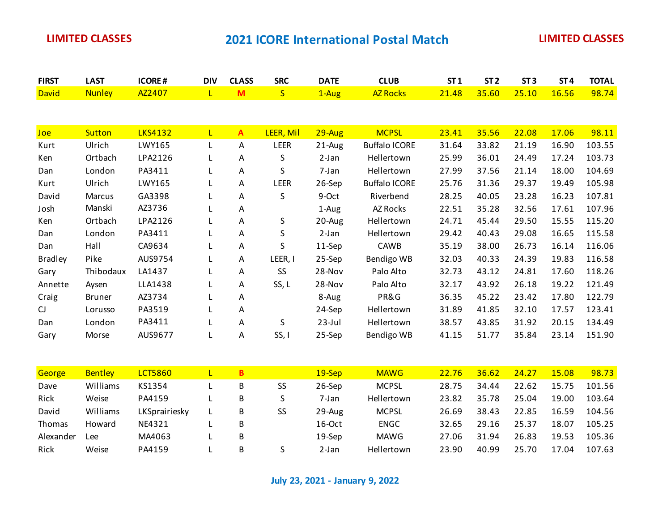| <b>FIRST</b>   | <b>LAST</b>   | <b>ICORE#</b>  | <b>DIV</b>   | <b>CLASS</b> | <b>SRC</b>  | <b>DATE</b> | <b>CLUB</b>          | ST1   | ST <sub>2</sub> | ST <sub>3</sub> | ST <sub>4</sub> | <b>TOTAL</b> |
|----------------|---------------|----------------|--------------|--------------|-------------|-------------|----------------------|-------|-----------------|-----------------|-----------------|--------------|
| <b>David</b>   | <b>Nunley</b> | AZ2407         | $\mathsf{L}$ | M            | S           | 1-Aug       | <b>AZ Rocks</b>      | 21.48 | 35.60           | 25.10           | 16.56           | 98.74        |
|                |               |                |              |              |             |             |                      |       |                 |                 |                 |              |
|                |               |                |              |              |             |             |                      |       |                 |                 |                 |              |
| Joe            | <b>Sutton</b> | <b>LKS4132</b> | $\mathsf{L}$ | $\mathbf{A}$ | LEER, Mil   | $29$ -Aug   | <b>MCPSL</b>         | 23.41 | 35.56           | 22.08           | 17.06           | 98.11        |
| Kurt           | Ulrich        | LWY165         | L            | Α            | LEER        | 21-Aug      | <b>Buffalo ICORE</b> | 31.64 | 33.82           | 21.19           | 16.90           | 103.55       |
| Ken            | Ortbach       | LPA2126        | L            | Α            | S           | $2-Jan$     | Hellertown           | 25.99 | 36.01           | 24.49           | 17.24           | 103.73       |
| Dan            | London        | PA3411         | L            | Α            | S           | 7-Jan       | Hellertown           | 27.99 | 37.56           | 21.14           | 18.00           | 104.69       |
| Kurt           | Ulrich        | LWY165         | L            | Α            | <b>LEER</b> | 26-Sep      | <b>Buffalo ICORE</b> | 25.76 | 31.36           | 29.37           | 19.49           | 105.98       |
| David          | Marcus        | GA3398         | L            | Α            | S           | 9-Oct       | Riverbend            | 28.25 | 40.05           | 23.28           | 16.23           | 107.81       |
| Josh           | Manski        | AZ3736         | L            | Α            |             | 1-Aug       | AZ Rocks             | 22.51 | 35.28           | 32.56           | 17.61           | 107.96       |
| Ken            | Ortbach       | LPA2126        | L            | Α            | S           | 20-Aug      | Hellertown           | 24.71 | 45.44           | 29.50           | 15.55           | 115.20       |
| Dan            | London        | PA3411         | L            | Α            | S           | $2-Jan$     | Hellertown           | 29.42 | 40.43           | 29.08           | 16.65           | 115.58       |
| Dan            | Hall          | CA9634         | L            | Α            | S           | 11-Sep      | CAWB                 | 35.19 | 38.00           | 26.73           | 16.14           | 116.06       |
| <b>Bradley</b> | Pike          | AUS9754        | L            | Α            | LEER, I     | 25-Sep      | Bendigo WB           | 32.03 | 40.33           | 24.39           | 19.83           | 116.58       |
| Gary           | Thibodaux     | LA1437         | L            | Α            | <b>SS</b>   | 28-Nov      | Palo Alto            | 32.73 | 43.12           | 24.81           | 17.60           | 118.26       |
| Annette        | Aysen         | LLA1438        | L            | Α            | SS, L       | 28-Nov      | Palo Alto            | 32.17 | 43.92           | 26.18           | 19.22           | 121.49       |
| Craig          | <b>Bruner</b> | AZ3734         | L            | А            |             | 8-Aug       | PR&G                 | 36.35 | 45.22           | 23.42           | 17.80           | 122.79       |
| CJ             | Lorusso       | PA3519         | L            | Α            |             | 24-Sep      | Hellertown           | 31.89 | 41.85           | 32.10           | 17.57           | 123.41       |
| Dan            | London        | PA3411         | L            | Α            | S           | $23$ -Jul   | Hellertown           | 38.57 | 43.85           | 31.92           | 20.15           | 134.49       |
| Gary           | Morse         | AUS9677        | L            | Α            | SS, I       | 25-Sep      | Bendigo WB           | 41.15 | 51.77           | 35.84           | 23.14           | 151.90       |
|                |               |                |              |              |             |             |                      |       |                 |                 |                 |              |

| George        | <b>Bentley</b> | LCT5860       | в |    | $19-$ Sep | <b>MAWG</b>  | 22.76 | 36.62 | 24.27 | 15.08 | 98.73  |
|---------------|----------------|---------------|---|----|-----------|--------------|-------|-------|-------|-------|--------|
| Dave          | Williams       | KS1354        | B | SS | $26-Sep$  | <b>MCPSL</b> | 28.75 | 34.44 | 22.62 | 15.75 | 101.56 |
| Rick          | Weise          | PA4159        | B |    | 7-Jan     | Hellertown   | 23.82 | 35.78 | 25.04 | 19.00 | 103.64 |
| David         | Williams       | LKSprairiesky | B | SS | $29$ -Aug | <b>MCPSL</b> | 26.69 | 38.43 | 22.85 | 16.59 | 104.56 |
| <b>Thomas</b> | Howard         | NE4321        | В |    | 16-Oct    | <b>ENGC</b>  | 32.65 | 29.16 | 25.37 | 18.07 | 105.25 |
| Alexander     | ∟ee            | MA4063        | B |    | $19-$ Sep | <b>MAWG</b>  | 27.06 | 31.94 | 26.83 | 19.53 | 105.36 |
| Rick          | Weise          | PA4159        | B |    | 2-Jan     | Hellertown   | 23.90 | 40.99 | 25.70 | 17.04 | 107.63 |

**July 23, 2021 - January 9, 2022**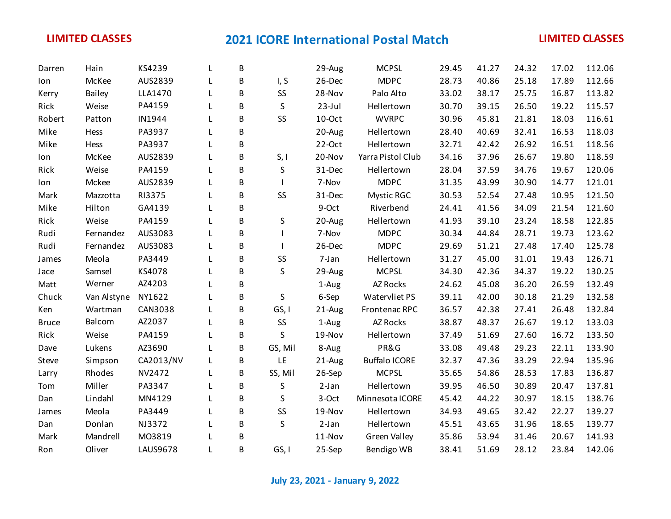| lon<br>Kerry | McKee<br><b>Bailey</b> | AUS2839         |   | B |         |           |                      |       |       |       |       |        |
|--------------|------------------------|-----------------|---|---|---------|-----------|----------------------|-------|-------|-------|-------|--------|
|              |                        |                 |   |   | I, S    | 26-Dec    | <b>MDPC</b>          | 28.73 | 40.86 | 25.18 | 17.89 | 112.66 |
|              |                        | LLA1470         |   | B | SS      | 28-Nov    | Palo Alto            | 33.02 | 38.17 | 25.75 | 16.87 | 113.82 |
| Rick         | Weise                  | PA4159          |   | B | S       | $23$ -Jul | Hellertown           | 30.70 | 39.15 | 26.50 | 19.22 | 115.57 |
| Robert       | Patton                 | IN1944          |   | B | SS      | 10-Oct    | <b>WVRPC</b>         | 30.96 | 45.81 | 21.81 | 18.03 | 116.61 |
| Mike         | Hess                   | PA3937          |   | B |         | 20-Aug    | Hellertown           | 28.40 | 40.69 | 32.41 | 16.53 | 118.03 |
| Mike         | Hess                   | PA3937          |   | B |         | 22-Oct    | Hellertown           | 32.71 | 42.42 | 26.92 | 16.51 | 118.56 |
| lon          | McKee                  | AUS2839         |   | B | S, I    | 20-Nov    | Yarra Pistol Club    | 34.16 | 37.96 | 26.67 | 19.80 | 118.59 |
| Rick         | Weise                  | PA4159          |   | B | S       | 31-Dec    | Hellertown           | 28.04 | 37.59 | 34.76 | 19.67 | 120.06 |
| lon          | Mckee                  | AUS2839         |   | B |         | 7-Nov     | <b>MDPC</b>          | 31.35 | 43.99 | 30.90 | 14.77 | 121.01 |
| Mark         | Mazzotta               | RI3375          |   | B | SS      | 31-Dec    | <b>Mystic RGC</b>    | 30.53 | 52.54 | 27.48 | 10.95 | 121.50 |
| Mike         | Hilton                 | GA4139          |   | B |         | 9-Oct     | Riverbend            | 24.41 | 41.56 | 34.09 | 21.54 | 121.60 |
| Rick         | Weise                  | PA4159          |   | B | S       | 20-Aug    | Hellertown           | 41.93 | 39.10 | 23.24 | 18.58 | 122.85 |
| Rudi         | Fernandez              | AUS3083         |   | B |         | 7-Nov     | <b>MDPC</b>          | 30.34 | 44.84 | 28.71 | 19.73 | 123.62 |
| Rudi         | Fernandez              | AUS3083         |   | B |         | 26-Dec    | <b>MDPC</b>          | 29.69 | 51.21 | 27.48 | 17.40 | 125.78 |
| James        | Meola                  | PA3449          |   | B | SS      | 7-Jan     | Hellertown           | 31.27 | 45.00 | 31.01 | 19.43 | 126.71 |
| Jace         | Samsel                 | KS4078          |   | B | S       | 29-Aug    | <b>MCPSL</b>         | 34.30 | 42.36 | 34.37 | 19.22 | 130.25 |
| Matt         | Werner                 | AZ4203          |   | B |         | 1-Aug     | AZ Rocks             | 24.62 | 45.08 | 36.20 | 26.59 | 132.49 |
| Chuck        | Van Alstyne            | NY1622          |   | B | S       | 6-Sep     | Watervliet PS        | 39.11 | 42.00 | 30.18 | 21.29 | 132.58 |
| Ken          | Wartman                | CAN3038         |   | B | GS, I   | 21-Aug    | Frontenac RPC        | 36.57 | 42.38 | 27.41 | 26.48 | 132.84 |
| <b>Bruce</b> | Balcom                 | AZ2037          |   | B | SS      | 1-Aug     | AZ Rocks             | 38.87 | 48.37 | 26.67 | 19.12 | 133.03 |
| Rick         | Weise                  | PA4159          |   | B | S       | 19-Nov    | Hellertown           | 37.49 | 51.69 | 27.60 | 16.72 | 133.50 |
| Dave         | Lukens                 | AZ3690          |   | B | GS, Mil | 8-Aug     | PR&G                 | 33.08 | 49.48 | 29.23 | 22.11 | 133.90 |
| Steve        | Simpson                | CA2013/NV       | L | B | LE      | 21-Aug    | <b>Buffalo ICORE</b> | 32.37 | 47.36 | 33.29 | 22.94 | 135.96 |
| Larry        | Rhodes                 | NV2472          |   | B | SS, Mil | 26-Sep    | <b>MCPSL</b>         | 35.65 | 54.86 | 28.53 | 17.83 | 136.87 |
| Tom          | Miller                 | PA3347          |   | B | S       | $2-Jan$   | Hellertown           | 39.95 | 46.50 | 30.89 | 20.47 | 137.81 |
| Dan          | Lindahl                | MN4129          |   | B | S       | 3-Oct     | Minnesota ICORE      | 45.42 | 44.22 | 30.97 | 18.15 | 138.76 |
| James        | Meola                  | PA3449          |   | B | SS      | 19-Nov    | Hellertown           | 34.93 | 49.65 | 32.42 | 22.27 | 139.27 |
| Dan          | Donlan                 | NJ3372          |   | B | S       | $2-Jan$   | Hellertown           | 45.51 | 43.65 | 31.96 | 18.65 | 139.77 |
| Mark         | Mandrell               | M03819          |   | B |         | 11-Nov    | Green Valley         | 35.86 | 53.94 | 31.46 | 20.67 | 141.93 |
| Ron          | Oliver                 | <b>LAUS9678</b> | L | B | GS, I   | 25-Sep    | Bendigo WB           | 38.41 | 51.69 | 28.12 | 23.84 | 142.06 |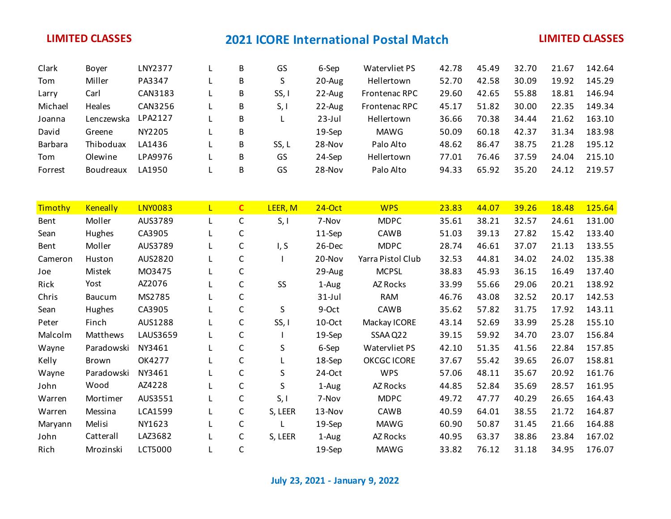| Clark   | <b>Bover</b>     | LNY2377 | В | GS    | 6-Sep     | Watervliet PS        | 42.78 | 45.49 | 32.70 | 21.67 | 142.64 |
|---------|------------------|---------|---|-------|-----------|----------------------|-------|-------|-------|-------|--------|
| Tom     | Miller           | PA3347  | B |       | $20$ -Aug | Hellertown           | 52.70 | 42.58 | 30.09 | 19.92 | 145.29 |
| Larry   | Carl             | CAN3183 | B | SS,   | $22$ -Aug | <b>Frontenac RPC</b> | 29.60 | 42.65 | 55.88 | 18.81 | 146.94 |
| Michael | Heales           | CAN3256 | B | S, I  | $22$ -Aug | <b>Frontenac RPC</b> | 45.17 | 51.82 | 30.00 | 22.35 | 149.34 |
| Joanna  | Lenczewska       | LPA2127 | B |       | $23$ -Jul | Hellertown           | 36.66 | 70.38 | 34.44 | 21.62 | 163.10 |
| David   | Greene           | NY2205  | B |       | $19-$ Sep | MAWG                 | 50.09 | 60.18 | 42.37 | 31.34 | 183.98 |
| Barbara | Thiboduax        | LA1436  | B | SS, L | 28-Nov    | Palo Alto            | 48.62 | 86.47 | 38.75 | 21.28 | 195.12 |
| Tom     | Olewine          | LPA9976 | В | GS    | 24-Sep    | <b>Hellertown</b>    | 77.01 | 76.46 | 37.59 | 24.04 | 215.10 |
| Forrest | <b>Boudreaux</b> | LA1950  | B | GS    | $28-Nov$  | Palo Alto            | 94.33 | 65.92 | 35.20 | 24.12 | 219.57 |

| Timothy | <b>Keneally</b> | <b>LNY0083</b>  | L | $\mathbf{C}$ | LEER, M | $24$ -Oct | <b>WPS</b>         | 23.83 | 44.07 | 39.26 | 18.48 | 125.64 |
|---------|-----------------|-----------------|---|--------------|---------|-----------|--------------------|-------|-------|-------|-------|--------|
| Bent    | Moller          | AUS3789         |   | $\mathsf{C}$ | S, I    | 7-Nov     | <b>MDPC</b>        | 35.61 | 38.21 | 32.57 | 24.61 | 131.00 |
| Sean    | Hughes          | CA3905          |   | С            |         | 11-Sep    | CAWB               | 51.03 | 39.13 | 27.82 | 15.42 | 133.40 |
| Bent    | Moller          | AUS3789         |   | $\mathsf{C}$ | I, S    | 26-Dec    | <b>MDPC</b>        | 28.74 | 46.61 | 37.07 | 21.13 | 133.55 |
| Cameron | Huston          | AUS2820         |   | $\mathsf C$  |         | 20-Nov    | Yarra Pistol Club  | 32.53 | 44.81 | 34.02 | 24.02 | 135.38 |
| Joe     | Mistek          | M03475          |   | $\mathsf C$  |         | 29-Aug    | <b>MCPSL</b>       | 38.83 | 45.93 | 36.15 | 16.49 | 137.40 |
| Rick    | Yost            | AZ2076          |   | C            | SS      | 1-Aug     | AZ Rocks           | 33.99 | 55.66 | 29.06 | 20.21 | 138.92 |
| Chris   | <b>Baucum</b>   | MS2785          |   | $\mathsf C$  |         | $31$ -Jul | <b>RAM</b>         | 46.76 | 43.08 | 32.52 | 20.17 | 142.53 |
| Sean    | Hughes          | CA3905          |   | C            | S       | 9-Oct     | CAWB               | 35.62 | 57.82 | 31.75 | 17.92 | 143.11 |
| Peter   | Finch           | AUS1288         |   | $\mathsf C$  | SS, I   | 10-Oct    | Mackay ICORE       | 43.14 | 52.69 | 33.99 | 25.28 | 155.10 |
| Malcolm | Matthews        | <b>LAUS3659</b> |   | C            |         | 19-Sep    | SSAA Q22           | 39.15 | 59.92 | 34.70 | 23.07 | 156.84 |
| Wayne   | Paradowski      | NY3461          |   | C            | S.      | 6-Sep     | Watervliet PS      | 42.10 | 51.35 | 41.56 | 22.84 | 157.85 |
| Kelly   | Brown           | OK4277          |   | $\mathsf C$  |         | 18-Sep    | <b>OKCGC ICORE</b> | 37.67 | 55.42 | 39.65 | 26.07 | 158.81 |
| Wayne   | Paradowski      | NY3461          |   | $\mathsf C$  | S.      | 24-Oct    | <b>WPS</b>         | 57.06 | 48.11 | 35.67 | 20.92 | 161.76 |
| John    | Wood            | AZ4228          |   | C            | S.      | 1-Aug     | AZ Rocks           | 44.85 | 52.84 | 35.69 | 28.57 | 161.95 |
| Warren  | Mortimer        | AUS3551         |   | $\mathsf C$  | S, I    | 7-Nov     | <b>MDPC</b>        | 49.72 | 47.77 | 40.29 | 26.65 | 164.43 |
| Warren  | Messina         | LCA1599         |   | $\mathsf{C}$ | S, LEER | 13-Nov    | CAWB               | 40.59 | 64.01 | 38.55 | 21.72 | 164.87 |
| Maryann | Melisi          | NY1623          |   | $\mathsf C$  |         | 19-Sep    | <b>MAWG</b>        | 60.90 | 50.87 | 31.45 | 21.66 | 164.88 |
| John    | Catterall       | LAZ3682         |   | C            | S, LEER | 1-Aug     | AZ Rocks           | 40.95 | 63.37 | 38.86 | 23.84 | 167.02 |
| Rich    | Mrozinski       | LCT5000         |   | C            |         | 19-Sep    | <b>MAWG</b>        | 33.82 | 76.12 | 31.18 | 34.95 | 176.07 |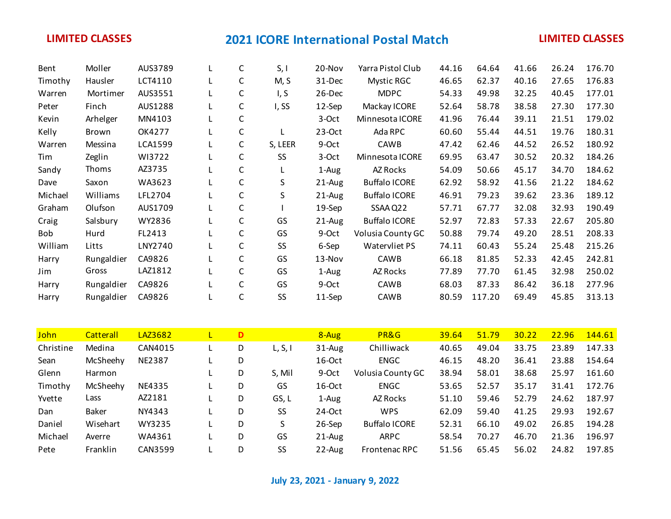| Bent       | Moller     | AUS3789 | L | C            | S, I    | 20-Nov    | Yarra Pistol Club    | 44.16 | 64.64  | 41.66 | 26.24 | 176.70 |
|------------|------------|---------|---|--------------|---------|-----------|----------------------|-------|--------|-------|-------|--------|
| Timothy    | Hausler    | LCT4110 |   | C            | M, S    | 31-Dec    | Mystic RGC           | 46.65 | 62.37  | 40.16 | 27.65 | 176.83 |
| Warren     | Mortimer   | AUS3551 |   | C            | I, S    | 26-Dec    | <b>MDPC</b>          | 54.33 | 49.98  | 32.25 | 40.45 | 177.01 |
| Peter      | Finch      | AUS1288 | L | $\mathsf C$  | I, SS   | 12-Sep    | Mackay ICORE         | 52.64 | 58.78  | 38.58 | 27.30 | 177.30 |
| Kevin      | Arhelger   | MN4103  | L | C            |         | 3-Oct     | Minnesota ICORE      | 41.96 | 76.44  | 39.11 | 21.51 | 179.02 |
| Kelly      | Brown      | OK4277  |   | C            |         | $23-Oct$  | Ada RPC              | 60.60 | 55.44  | 44.51 | 19.76 | 180.31 |
| Warren     | Messina    | LCA1599 |   | C            | S, LEER | 9-Oct     | CAWB                 | 47.42 | 62.46  | 44.52 | 26.52 | 180.92 |
| Tim        | Zeglin     | WI3722  |   | C            | SS      | 3-Oct     | Minnesota ICORE      | 69.95 | 63.47  | 30.52 | 20.32 | 184.26 |
| Sandy      | Thoms      | AZ3735  |   | C            |         | 1-Aug     | AZ Rocks             | 54.09 | 50.66  | 45.17 | 34.70 | 184.62 |
| Dave       | Saxon      | WA3623  |   | C            | S       | $21$ -Aug | <b>Buffalo ICORE</b> | 62.92 | 58.92  | 41.56 | 21.22 | 184.62 |
| Michael    | Williams   | LFL2704 |   | C            | S       | $21$ -Aug | <b>Buffalo ICORE</b> | 46.91 | 79.23  | 39.62 | 23.36 | 189.12 |
| Graham     | Olufson    | AUS1709 |   | C            |         | 19-Sep    | SSAA Q22             | 57.71 | 67.77  | 32.08 | 32.93 | 190.49 |
| Craig      | Salsbury   | WY2836  |   | C            | GS      | $21$ -Aug | <b>Buffalo ICORE</b> | 52.97 | 72.83  | 57.33 | 22.67 | 205.80 |
| <b>Bob</b> | Hurd       | FL2413  |   | $\mathsf C$  | GS      | 9-Oct     | Volusia County GC    | 50.88 | 79.74  | 49.20 | 28.51 | 208.33 |
| William    | Litts      | LNY2740 |   | C            | SS      | 6-Sep     | Watervliet PS        | 74.11 | 60.43  | 55.24 | 25.48 | 215.26 |
| Harry      | Rungaldier | CA9826  |   | $\mathsf{C}$ | GS      | 13-Nov    | CAWB                 | 66.18 | 81.85  | 52.33 | 42.45 | 242.81 |
| Jim        | Gross      | LAZ1812 |   | C            | GS      | 1-Aug     | AZ Rocks             | 77.89 | 77.70  | 61.45 | 32.98 | 250.02 |
| Harry      | Rungaldier | CA9826  |   | $\mathsf C$  | GS      | 9-Oct     | CAWB                 | 68.03 | 87.33  | 86.42 | 36.18 | 277.96 |
| Harry      | Rungaldier | CA9826  |   | $\mathsf C$  | SS      | 11-Sep    | CAWB                 | 80.59 | 117.20 | 69.49 | 45.85 | 313.13 |

| John      | <b>Catterall</b> | LAZ3682       | L  | D |           | 8-Aug      | PR&G                 | 39.64 | 51.79 | 30.22 | 22.96 | 144.61 |
|-----------|------------------|---------------|----|---|-----------|------------|----------------------|-------|-------|-------|-------|--------|
| Christine | Medina           | CAN4015       |    | D | L, S, I   | $31 - Aug$ | Chilliwack           | 40.65 | 49.04 | 33.75 | 23.89 | 147.33 |
| Sean      | McSheehy         | <b>NE2387</b> |    | D |           | $16$ -Oct  | <b>ENGC</b>          | 46.15 | 48.20 | 36.41 | 23.88 | 154.64 |
| Glenn     | Harmon           |               |    | D | S, Mil    | 9-Oct      | Volusia County GC    | 38.94 | 58.01 | 38.68 | 25.97 | 161.60 |
| Timothy   | McSheehy         | NE4335        |    | D | GS        | $16$ -Oct  | <b>ENGC</b>          | 53.65 | 52.57 | 35.17 | 31.41 | 172.76 |
| Yvette    | Lass             | AZ2181        |    | D | GS, L     | 1-Aug      | AZ Rocks             | 51.10 | 59.46 | 52.79 | 24.62 | 187.97 |
| Dan       | Baker            | NY4343        |    | D | SS        | $24-Oct$   | <b>WPS</b>           | 62.09 | 59.40 | 41.25 | 29.93 | 192.67 |
| Daniel    | Wisehart         | WY3235        |    | D | S         | 26-Sep     | <b>Buffalo ICORE</b> | 52.31 | 66.10 | 49.02 | 26.85 | 194.28 |
| Michael   | Averre           | WA4361        | Ц. | D | GS        | $21 - Aug$ | <b>ARPC</b>          | 58.54 | 70.27 | 46.70 | 21.36 | 196.97 |
| Pete      | Franklin         | CAN3599       |    | D | <b>SS</b> | $22$ -Aug  | <b>Frontenac RPC</b> | 51.56 | 65.45 | 56.02 | 24.82 | 197.85 |

**July 23, 2021 - January 9, 2022**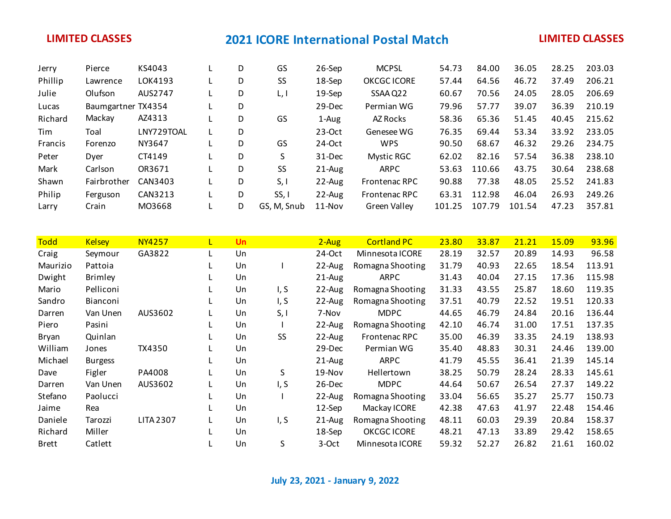| Jerry          | Pierce             | KS4043     | D | GS          | 26-Sep     | <b>MCPSL</b>         | 54.73  | 84.00  | 36.05  | 28.25 | 203.03 |
|----------------|--------------------|------------|---|-------------|------------|----------------------|--------|--------|--------|-------|--------|
| Phillip        | Lawrence           | LOK4193    | D | <b>SS</b>   | 18-Sep     | <b>OKCGC ICORE</b>   | 57.44  | 64.56  | 46.72  | 37.49 | 206.21 |
| Julie          | Olufson            | AUS2747    | D | L, I        | $19-$ Sep  | SSAA Q22             | 60.67  | 70.56  | 24.05  | 28.05 | 206.69 |
| Lucas          | Baumgartner TX4354 |            | D |             | $29-Dec$   | Permian WG           | 79.96  | 57.77  | 39.07  | 36.39 | 210.19 |
| Richard        | Mackay             | AZ4313     | D | GS          | 1-Aug      | AZ Rocks             | 58.36  | 65.36  | 51.45  | 40.45 | 215.62 |
| Tim            | Toal               | LNY729TOAL | D |             | $23-Oct$   | Genesee WG           | 76.35  | 69.44  | 53.34  | 33.92 | 233.05 |
| <b>Francis</b> | Forenzo            | NY3647     | D | GS          | 24-Oct     | <b>WPS</b>           | 90.50  | 68.67  | 46.32  | 29.26 | 234.75 |
| Peter          | Dver               | CT4149     | D | S.          | 31-Dec     | <b>Mystic RGC</b>    | 62.02  | 82.16  | 57.54  | 36.38 | 238.10 |
| Mark           | Carlson            | OR3671     | D | <b>SS</b>   | $21 - Aug$ | <b>ARPC</b>          | 53.63  | 110.66 | 43.75  | 30.64 | 238.68 |
| Shawn          | Fairbrother        | CAN3403    | D | S, I        | 22-Aug     | <b>Frontenac RPC</b> | 90.88  | 77.38  | 48.05  | 25.52 | 241.83 |
| Philip         | Ferguson           | CAN3213    | D | SS, I       | $22$ -Aug  | <b>Frontenac RPC</b> | 63.31  | 112.98 | 46.04  | 26.93 | 249.26 |
| Larry          | Crain              | MO3668     | D | GS, M, Snub | $11-Nov$   | Green Valley         | 101.25 | 107.79 | 101.54 | 47.23 | 357.81 |

| <b>Todd</b>  | <b>Kelsey</b>   | <b>NY4257</b>    | L  | <b>Un</b> |      | $2 - Aug$  | <b>Cortland PC</b>   | 23.80 | 33.87 | 21.21 | 15.09 | 93.96  |
|--------------|-----------------|------------------|----|-----------|------|------------|----------------------|-------|-------|-------|-------|--------|
| Craig        | Seymour         | GA3822           | L. | Un        |      | $24$ -Oct  | Minnesota ICORE      | 28.19 | 32.57 | 20.89 | 14.93 | 96.58  |
| Maurizio     | Pattoia         |                  | L. | Un        |      | 22-Aug     | Romagna Shooting     | 31.79 | 40.93 | 22.65 | 18.54 | 113.91 |
| Dwight       | <b>Brimley</b>  |                  |    | Un        |      | $21-Au$ g  | ARPC                 | 31.43 | 40.04 | 27.15 | 17.36 | 115.98 |
| Mario        | Pelliconi       |                  |    | Un        | I, S | 22-Aug     | Romagna Shooting     | 31.33 | 43.55 | 25.87 | 18.60 | 119.35 |
| Sandro       | <b>Bianconi</b> |                  |    | Un        | I, S | 22-Aug     | Romagna Shooting     | 37.51 | 40.79 | 22.52 | 19.51 | 120.33 |
| Darren       | Van Unen        | AUS3602          | L. | Un        | S, I | 7-Nov      | <b>MDPC</b>          | 44.65 | 46.79 | 24.84 | 20.16 | 136.44 |
| Piero        | Pasini          |                  | L  | Un        |      | 22-Aug     | Romagna Shooting     | 42.10 | 46.74 | 31.00 | 17.51 | 137.35 |
| Bryan        | Quinlan         |                  |    | Un        | SS   | 22-Aug     | <b>Frontenac RPC</b> | 35.00 | 46.39 | 33.35 | 24.19 | 138.93 |
| William      | Jones           | TX4350           |    | Un        |      | 29-Dec     | Permian WG           | 35.40 | 48.83 | 30.31 | 24.46 | 139.00 |
| Michael      | <b>Burgess</b>  |                  |    | Un        |      | $21 - Aug$ | <b>ARPC</b>          | 41.79 | 45.55 | 36.41 | 21.39 | 145.14 |
| Dave         | Figler          | PA4008           | L  | Un        | S    | 19-Nov     | Hellertown           | 38.25 | 50.79 | 28.24 | 28.33 | 145.61 |
| Darren       | Van Unen        | AUS3602          | L  | Un        | I, S | 26-Dec     | <b>MDPC</b>          | 44.64 | 50.67 | 26.54 | 27.37 | 149.22 |
| Stefano      | Paolucci        |                  | L  | Un        |      | 22-Aug     | Romagna Shooting     | 33.04 | 56.65 | 35.27 | 25.77 | 150.73 |
| Jaime        | Rea             |                  |    | Un        |      | $12$ -Sep  | Mackay ICORE         | 42.38 | 47.63 | 41.97 | 22.48 | 154.46 |
| Daniele      | Tarozzi         | <b>LITA 2307</b> | L  | Un        | I, S | 21-Aug     | Romagna Shooting     | 48.11 | 60.03 | 29.39 | 20.84 | 158.37 |
| Richard      | Miller          |                  |    | Un        |      | 18-Sep     | <b>OKCGC ICORE</b>   | 48.21 | 47.13 | 33.89 | 29.42 | 158.65 |
| <b>Brett</b> | Catlett         |                  |    | Un        | S.   | 3-Oct      | Minnesota ICORE      | 59.32 | 52.27 | 26.82 | 21.61 | 160.02 |